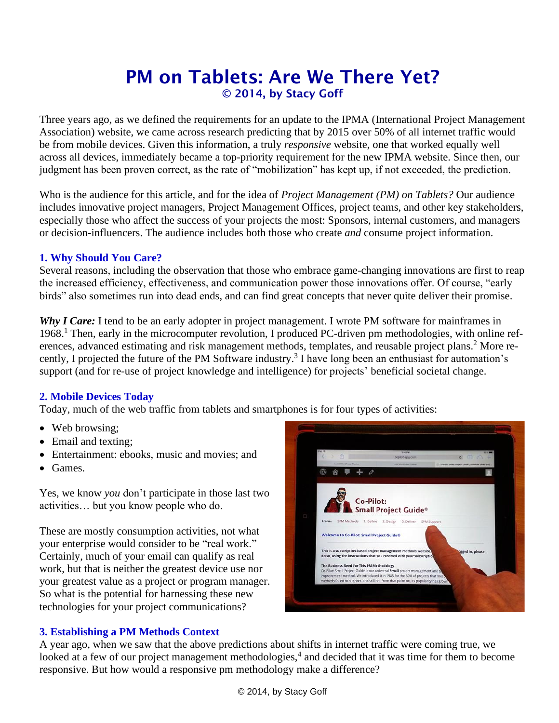# PM on Tablets: Are We There Yet? © 2014, by Stacy Goff

Three years ago, as we defined the requirements for an update to the IPMA (International Project Management Association) website, we came across research predicting that by 2015 over 50% of all internet traffic would be from mobile devices. Given this information, a truly *responsive* website, one that worked equally well across all devices, immediately became a top-priority requirement for the new IPMA website. Since then, our judgment has been proven correct, as the rate of "mobilization" has kept up, if not exceeded, the prediction.

Who is the audience for this article, and for the idea of *Project Management (PM) on Tablets?* Our audience includes innovative project managers, Project Management Offices, project teams, and other key stakeholders, especially those who affect the success of your projects the most: Sponsors, internal customers, and managers or decision-influencers. The audience includes both those who create *and* consume project information.

## **1. Why Should You Care?**

Several reasons, including the observation that those who embrace game-changing innovations are first to reap the increased efficiency, effectiveness, and communication power those innovations offer. Of course, "early birds" also sometimes run into dead ends, and can find great concepts that never quite deliver their promise.

*Why I Care:* I tend to be an early adopter in project management. I wrote PM software for mainframes in 1968. <sup>1</sup> Then, early in the microcomputer revolution, I produced PC-driven pm methodologies, with online references, advanced estimating and risk management methods, templates, and reusable project plans.<sup>2</sup> More recently, I projected the future of the PM Software industry. 3 I have long been an enthusiast for automation's support (and for re-use of project knowledge and intelligence) for projects' beneficial societal change.

## **2. Mobile Devices Today**

Today, much of the web traffic from tablets and smartphones is for four types of activities:

- Web browsing:
- Email and texting;
- Entertainment: ebooks, music and movies: and
- Games.

Yes, we know *you* don't participate in those last two activities… but you know people who do.

These are mostly consumption activities, not what your enterprise would consider to be "real work." Certainly, much of your email can qualify as real work, but that is neither the greatest device use nor your greatest value as a project or program manager. So what is the potential for harnessing these new technologies for your project communications?



# **3. Establishing a PM Methods Context**

A year ago, when we saw that the above predictions about shifts in internet traffic were coming true, we looked at a few of our project management methodologies,<sup>4</sup> and decided that it was time for them to become responsive. But how would a responsive pm methodology make a difference?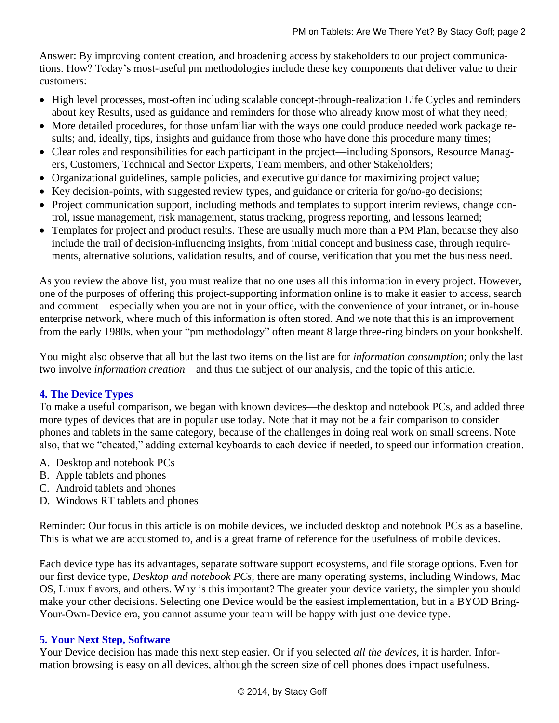Answer: By improving content creation, and broadening access by stakeholders to our project communications. How? Today's most-useful pm methodologies include these key components that deliver value to their customers:

- High level processes, most-often including scalable concept-through-realization Life Cycles and reminders about key Results, used as guidance and reminders for those who already know most of what they need;
- More detailed procedures, for those unfamiliar with the ways one could produce needed work package results; and, ideally, tips, insights and guidance from those who have done this procedure many times;
- Clear roles and responsibilities for each participant in the project—including Sponsors, Resource Managers, Customers, Technical and Sector Experts, Team members, and other Stakeholders;
- Organizational guidelines, sample policies, and executive guidance for maximizing project value;
- Key decision-points, with suggested review types, and guidance or criteria for go/no-go decisions;
- Project communication support, including methods and templates to support interim reviews, change control, issue management, risk management, status tracking, progress reporting, and lessons learned;
- Templates for project and product results. These are usually much more than a PM Plan, because they also include the trail of decision-influencing insights, from initial concept and business case, through requirements, alternative solutions, validation results, and of course, verification that you met the business need.

As you review the above list, you must realize that no one uses all this information in every project. However, one of the purposes of offering this project-supporting information online is to make it easier to access, search and comment—especially when you are not in your office, with the convenience of your intranet, or in-house enterprise network, where much of this information is often stored. And we note that this is an improvement from the early 1980s, when your "pm methodology" often meant 8 large three-ring binders on your bookshelf.

You might also observe that all but the last two items on the list are for *information consumption*; only the last two involve *information creation*—and thus the subject of our analysis, and the topic of this article.

## **4. The Device Types**

To make a useful comparison, we began with known devices—the desktop and notebook PCs, and added three more types of devices that are in popular use today. Note that it may not be a fair comparison to consider phones and tablets in the same category, because of the challenges in doing real work on small screens. Note also, that we "cheated," adding external keyboards to each device if needed, to speed our information creation.

- A. Desktop and notebook PCs
- B. Apple tablets and phones
- C. Android tablets and phones
- D. Windows RT tablets and phones

Reminder: Our focus in this article is on mobile devices, we included desktop and notebook PCs as a baseline. This is what we are accustomed to, and is a great frame of reference for the usefulness of mobile devices.

Each device type has its advantages, separate software support ecosystems, and file storage options. Even for our first device type, *Desktop and notebook PCs*, there are many operating systems, including Windows, Mac OS, Linux flavors, and others. Why is this important? The greater your device variety, the simpler you should make your other decisions. Selecting one Device would be the easiest implementation, but in a BYOD Bring-Your-Own-Device era, you cannot assume your team will be happy with just one device type.

## **5. Your Next Step, Software**

Your Device decision has made this next step easier. Or if you selected *all the devices*, it is harder. Information browsing is easy on all devices, although the screen size of cell phones does impact usefulness.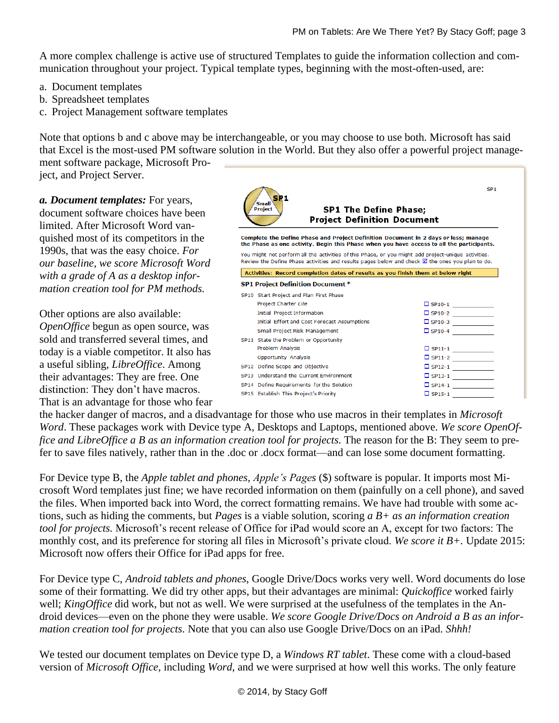A more complex challenge is active use of structured Templates to guide the information collection and communication throughout your project. Typical template types, beginning with the most-often-used, are:

- a. Document templates
- b. Spreadsheet templates
- c. Project Management software templates

Note that options b and c above may be interchangeable, or you may choose to use both. Microsoft has said that Excel is the most-used PM software solution in the World. But they also offer a powerful project management software package, Microsoft Pro-

ject, and Project Server.

*a. Document templates:* For years, document software choices have been limited. After Microsoft Word vanquished most of its competitors in the 1990s, that was the easy choice. *For our baseline, we score Microsoft Word with a grade of A as a desktop information creation tool for PM methods.* 

Other options are also available: *OpenOffice* begun as open source, was sold and transferred several times, and today is a viable competitor. It also has a useful sibling, *LibreOffice*. Among their advantages: They are free. One distinction: They don't have macros. That is an advantage for those who fear



the hacker danger of macros, and a disadvantage for those who use macros in their templates in *Microsoft Word*. These packages work with Device type A, Desktops and Laptops, mentioned above. *We score OpenOffice and LibreOffice a B as an information creation tool for projects.* The reason for the B: They seem to prefer to save files natively, rather than in the .doc or .docx format—and can lose some document formatting.

For Device type B, the *Apple tablet and phones*, *Apple's Pages* (\$) software is popular. It imports most Microsoft Word templates just fine; we have recorded information on them (painfully on a cell phone), and saved the files. When imported back into Word, the correct formatting remains. We have had trouble with some actions, such as hiding the comments, but *Pages* is a viable solution, scoring *a B+ as an information creation tool for projects.* Microsoft's recent release of Office for iPad would score an A, except for two factors: The monthly cost, and its preference for storing all files in Microsoft's private cloud. *We score it B+.* Update 2015: Microsoft now offers their Office for iPad apps for free.

For Device type C, *Android tablets and phones*, Google Drive/Docs works very well. Word documents do lose some of their formatting. We did try other apps, but their advantages are minimal: *Quickoffice* worked fairly well; *KingOffice* did work, but not as well. We were surprised at the usefulness of the templates in the Android devices—even on the phone they were usable. *We score Google Drive/Docs on Android a B as an information creation tool for projects.* Note that you can also use Google Drive/Docs on an iPad. *Shhh!*

We tested our document templates on Device type D, a *Windows RT tablet*. These come with a cloud-based version of *Microsoft Office,* including *Word*, and we were surprised at how well this works. The only feature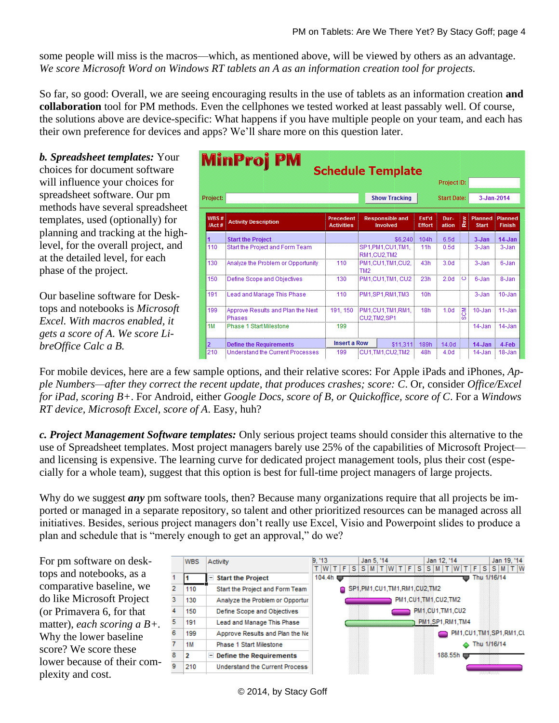some people will miss is the macros—which, as mentioned above, will be viewed by others as an advantage. *We score Microsoft Word on Windows RT tablets an A as an information creation tool for projects.* 

So far, so good: Overall, we are seeing encouraging results in the use of tablets as an information creation **and collaboration** tool for PM methods. Even the cellphones we tested worked at least passably well. Of course, the solutions above are device-specific: What happens if you have multiple people on your team, and each has their own preference for devices and apps? We'll share more on this question later.

*b. Spreadsheet templates:* Your choices for document software will influence your choices for spreadsheet software. Our pm methods have several spreadsheet templates, used (optionally) for planning and tracking at the highlevel, for the overall project, and at the detailed level, for each phase of the project.

Our baseline software for Desktops and notebooks is *Microsoft Excel. With macros enabled, it gets a score of A*. *We score LibreOffice Calc a B.*

| <b>MinProj PM</b><br><b>Schedule Template</b><br>Project ID: |                                             |                                |                 |                                    |                        |                    |         |                         |                          |  |  |  |  |
|--------------------------------------------------------------|---------------------------------------------|--------------------------------|-----------------|------------------------------------|------------------------|--------------------|---------|-------------------------|--------------------------|--|--|--|--|
| Project:                                                     |                                             |                                |                 | <b>Show Tracking</b>               |                        | <b>Start Date:</b> |         | 3-Jan-2014              |                          |  |  |  |  |
| WBS#<br>/Act#                                                | <b>Activity Description</b>                 | Precedent<br><b>Activities</b> |                 | <b>Responsible and</b><br>Involved | Est'd<br><b>Effort</b> | Dur-<br>ation      | ξ<br>₹. | Planned<br><b>Start</b> | Planned<br><b>Finish</b> |  |  |  |  |
|                                                              | <b>Start the Project</b>                    |                                |                 | \$6,240                            | 104h                   | 6.5d               |         | $3 - Jan$               | $14$ -Jan                |  |  |  |  |
| 110                                                          | Start the Project and Form Team             |                                |                 | SP1,PM1,CU1,TM1,<br>RM1.CU2.TM2    | 11h                    | 0.5d               |         | 3-Jan                   | 3-Jan                    |  |  |  |  |
| 130                                                          | Analyze the Problem or Opportunity          | 110                            | TM <sub>2</sub> | PM1.CU1.TM1.CU2.                   | 43h                    | 3.0 <sub>d</sub>   |         | 3-Jan                   | 6-Jan                    |  |  |  |  |
| 150                                                          | Define Scope and Objectives                 | 130                            |                 | PM1.CU1.TM1. CU2                   | 23h                    | 2.0 <sub>d</sub>   | O       | 6-Jan                   | 8-Jan                    |  |  |  |  |
| 191                                                          | Lead and Manage This Phase                  | 110                            |                 | PM1.SP1.RM1.TM3                    | 10h                    |                    |         | 3-Jan                   | $10 - Jan$               |  |  |  |  |
| 199                                                          | Approve Results and Plan the Next<br>Phases | 191.150                        |                 | PM1.CU1.TM1.RM1.<br>CU2.TM2.SP1    | 18h                    | 1.0 <sub>d</sub>   | 종<br>m  | 10-Jan                  | 11-Jan                   |  |  |  |  |
| 1M                                                           | Phase 1 Start Milestone                     | 199                            |                 |                                    |                        |                    |         | 14-Jan                  | 14-Jan                   |  |  |  |  |
|                                                              | <b>Define the Requirements</b>              | <b>Insert a Row</b>            |                 | \$11.311                           | 189h                   | 14.0 <sub>d</sub>  |         | $14$ -Jan               | 4-Feb                    |  |  |  |  |
| 210                                                          | Understand the Current Processes            | 199                            |                 | CU1.TM1.CU2.TM2                    | 48h                    | 4.0 <sub>d</sub>   |         | $14$ -Jan               | 18-Jan                   |  |  |  |  |

For mobile devices, here are a few sample options, and their relative scores: For Apple iPads and iPhones, *Apple Numbers—after they correct the recent update, that produces crashes; score: C*. Or, consider *Office/Excel for iPad, scoring B+*. For Android, either *Google Docs, score of B, or Quickoffice, score of C*. For a *Windows RT device, Microsoft Excel, score of A*. Easy, huh?

*c. Project Management Software templates:* Only serious project teams should consider this alternative to the use of Spreadsheet templates. Most project managers barely use 25% of the capabilities of Microsoft Project and licensing is expensive. The learning curve for dedicated project management tools, plus their cost (especially for a whole team), suggest that this option is best for full-time project managers of large projects.

Why do we suggest *any* pm software tools, then? Because many organizations require that all projects be imported or managed in a separate repository, so talent and other prioritized resources can be managed across all initiatives. Besides, serious project managers don't really use Excel, Visio and Powerpoint slides to produce a plan and schedule that is "merely enough to get an approval," do we?

For pm software on desktops and notebooks, as a comparative baseline, we do like Microsoft Project (or Primavera 6, for that matter), *each scoring a B+.* Why the lower baseline score? We score these lower because of their complexity and cost.



© 2014, by Stacy Goff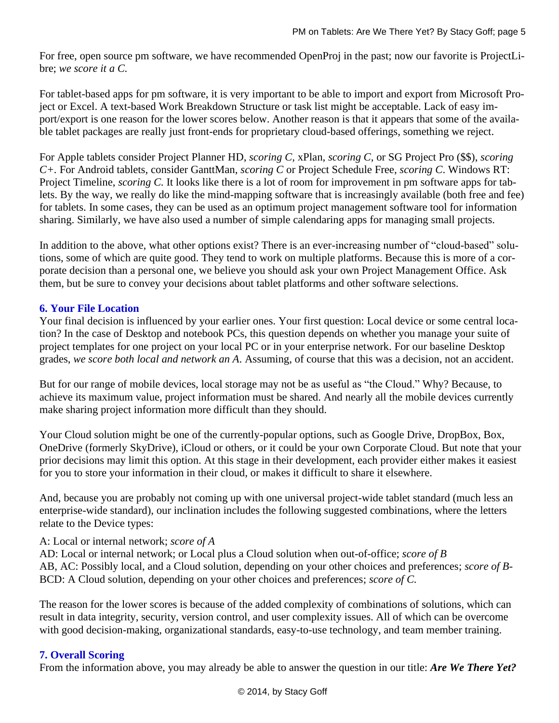For free, open source pm software, we have recommended OpenProj in the past; now our favorite is ProjectLibre; *we score it a C.* 

For tablet-based apps for pm software, it is very important to be able to import and export from Microsoft Project or Excel. A text-based Work Breakdown Structure or task list might be acceptable. Lack of easy import/export is one reason for the lower scores below. Another reason is that it appears that some of the available tablet packages are really just front-ends for proprietary cloud-based offerings, something we reject.

For Apple tablets consider Project Planner HD, *scoring C,* xPlan, *scoring C,* or SG Project Pro (\$\$), *scoring C+.* For Android tablets, consider GanttMan, *scoring C* or Project Schedule Free, *scoring C*. Windows RT: Project Timeline, *scoring C*. It looks like there is a lot of room for improvement in pm software apps for tablets. By the way, we really do like the mind-mapping software that is increasingly available (both free and fee) for tablets. In some cases, they can be used as an optimum project management software tool for information sharing. Similarly, we have also used a number of simple calendaring apps for managing small projects.

In addition to the above, what other options exist? There is an ever-increasing number of "cloud-based" solutions, some of which are quite good. They tend to work on multiple platforms. Because this is more of a corporate decision than a personal one, we believe you should ask your own Project Management Office. Ask them, but be sure to convey your decisions about tablet platforms and other software selections.

#### **6. Your File Location**

Your final decision is influenced by your earlier ones. Your first question: Local device or some central location? In the case of Desktop and notebook PCs, this question depends on whether you manage your suite of project templates for one project on your local PC or in your enterprise network. For our baseline Desktop grades, *we score both local and network an A*. Assuming, of course that this was a decision, not an accident.

But for our range of mobile devices, local storage may not be as useful as "the Cloud." Why? Because, to achieve its maximum value, project information must be shared. And nearly all the mobile devices currently make sharing project information more difficult than they should.

Your Cloud solution might be one of the currently-popular options, such as Google Drive, DropBox, Box, OneDrive (formerly SkyDrive), iCloud or others, or it could be your own Corporate Cloud. But note that your prior decisions may limit this option. At this stage in their development, each provider either makes it easiest for you to store your information in their cloud, or makes it difficult to share it elsewhere.

And, because you are probably not coming up with one universal project-wide tablet standard (much less an enterprise-wide standard), our inclination includes the following suggested combinations, where the letters relate to the Device types:

#### A: Local or internal network; *score of A*

AD: Local or internal network; or Local plus a Cloud solution when out-of-office; *score of B* AB, AC: Possibly local, and a Cloud solution, depending on your other choices and preferences; *score of B-*BCD: A Cloud solution, depending on your other choices and preferences; *score of C.*

The reason for the lower scores is because of the added complexity of combinations of solutions, which can result in data integrity, security, version control, and user complexity issues. All of which can be overcome with good decision-making, organizational standards, easy-to-use technology, and team member training.

#### **7. Overall Scoring**

From the information above, you may already be able to answer the question in our title: *Are We There Yet?*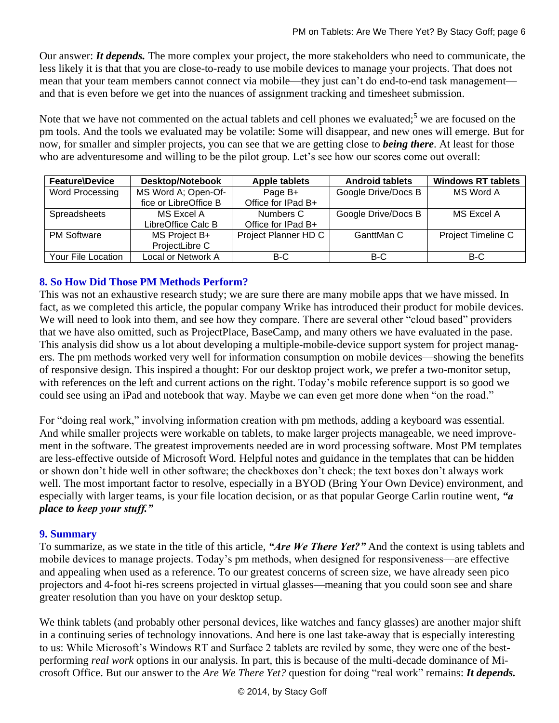Our answer: *It depends.* The more complex your project, the more stakeholders who need to communicate, the less likely it is that that you are close-to-ready to use mobile devices to manage your projects. That does not mean that your team members cannot connect via mobile—they just can't do end-to-end task management and that is even before we get into the nuances of assignment tracking and timesheet submission.

Note that we have not commented on the actual tablets and cell phones we evaluated;<sup>5</sup> we are focused on the pm tools. And the tools we evaluated may be volatile: Some will disappear, and new ones will emerge. But for now, for smaller and simpler projects, you can see that we are getting close to *being there*. At least for those who are adventuresome and willing to be the pilot group. Let's see how our scores come out overall:

| <b>Feature/Device</b> | <b>Desktop/Notebook</b> | <b>Apple tablets</b> | <b>Android tablets</b> | <b>Windows RT tablets</b> |  |
|-----------------------|-------------------------|----------------------|------------------------|---------------------------|--|
| Word Processing       | MS Word A; Open-Of-     | Page B+              | Google Drive/Docs B    | MS Word A                 |  |
|                       | fice or LibreOffice B   | Office for IPad B+   |                        |                           |  |
| Spreadsheets          | MS Excel A              | Numbers C            | Google Drive/Docs B    | <b>MS Excel A</b>         |  |
|                       | LibreOffice Calc B      | Office for IPad B+   |                        |                           |  |
| <b>PM Software</b>    | MS Project B+           | Project Planner HD C | GanttMan C             | Project Timeline C        |  |
|                       | ProjectLibre C          |                      |                        |                           |  |
| Your File Location    | Local or Network A      | B-C                  | B-C                    | B-C                       |  |

# **8. So How Did Those PM Methods Perform?**

This was not an exhaustive research study; we are sure there are many mobile apps that we have missed. In fact, as we completed this article, the popular company Wrike has introduced their product for mobile devices. We will need to look into them, and see how they compare. There are several other "cloud based" providers that we have also omitted, such as ProjectPlace, BaseCamp, and many others we have evaluated in the pase. This analysis did show us a lot about developing a multiple-mobile-device support system for project managers. The pm methods worked very well for information consumption on mobile devices—showing the benefits of responsive design. This inspired a thought: For our desktop project work, we prefer a two-monitor setup, with references on the left and current actions on the right. Today's mobile reference support is so good we could see using an iPad and notebook that way. Maybe we can even get more done when "on the road."

For "doing real work," involving information creation with pm methods, adding a keyboard was essential. And while smaller projects were workable on tablets, to make larger projects manageable, we need improvement in the software. The greatest improvements needed are in word processing software. Most PM templates are less-effective outside of Microsoft Word. Helpful notes and guidance in the templates that can be hidden or shown don't hide well in other software; the checkboxes don't check; the text boxes don't always work well. The most important factor to resolve, especially in a BYOD (Bring Your Own Device) environment, and especially with larger teams, is your file location decision, or as that popular George Carlin routine went, *"a place to keep your stuff."*

## **9. Summary**

To summarize, as we state in the title of this article, *"Are We There Yet?"* And the context is using tablets and mobile devices to manage projects. Today's pm methods, when designed for responsiveness—are effective and appealing when used as a reference. To our greatest concerns of screen size, we have already seen pico projectors and 4-foot hi-res screens projected in virtual glasses—meaning that you could soon see and share greater resolution than you have on your desktop setup.

We think tablets (and probably other personal devices, like watches and fancy glasses) are another major shift in a continuing series of technology innovations. And here is one last take-away that is especially interesting to us: While Microsoft's Windows RT and Surface 2 tablets are reviled by some, they were one of the bestperforming *real work* options in our analysis. In part, this is because of the multi-decade dominance of Microsoft Office. But our answer to the *Are We There Yet?* question for doing "real work" remains: *It depends.*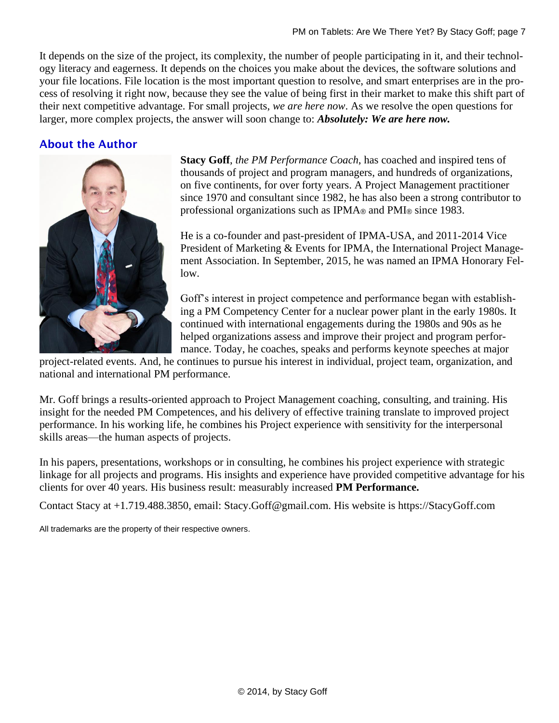It depends on the size of the project, its complexity, the number of people participating in it, and their technology literacy and eagerness. It depends on the choices you make about the devices, the software solutions and your file locations. File location is the most important question to resolve, and smart enterprises are in the process of resolving it right now, because they see the value of being first in their market to make this shift part of their next competitive advantage. For small projects, *we are here now*. As we resolve the open questions for larger, more complex projects, the answer will soon change to: *Absolutely: We are here now.*

# About the Author



**Stacy Goff**, *the PM Performance Coach*, has coached and inspired tens of thousands of project and program managers, and hundreds of organizations, on five continents, for over forty years. A Project Management practitioner since 1970 and consultant since 1982, he has also been a strong contributor to professional organizations such as IPMA® and PMI® since 1983.

He is a co-founder and past-president of IPMA-USA, and 2011-2014 Vice President of Marketing & Events for IPMA, the International Project Management Association. In September, 2015, he was named an IPMA Honorary Fellow.

Goff's interest in project competence and performance began with establishing a PM Competency Center for a nuclear power plant in the early 1980s. It continued with international engagements during the 1980s and 90s as he helped organizations assess and improve their project and program performance. Today, he coaches, speaks and performs keynote speeches at major

project-related events. And, he continues to pursue his interest in individual, project team, organization, and national and international PM performance.

Mr. Goff brings a results-oriented approach to Project Management coaching, consulting, and training. His insight for the needed PM Competences, and his delivery of effective training translate to improved project performance. In his working life, he combines his Project experience with sensitivity for the interpersonal skills areas—the human aspects of projects.

In his papers, presentations, workshops or in consulting, he combines his project experience with strategic linkage for all projects and programs. His insights and experience have provided competitive advantage for his clients for over 40 years. His business result: measurably increased **PM Performance.** 

Contact Stacy at +1.719.488.3850, email: Stacy.Goff@gmail.com. His website is https://StacyGoff.com

All trademarks are the property of their respective owners.